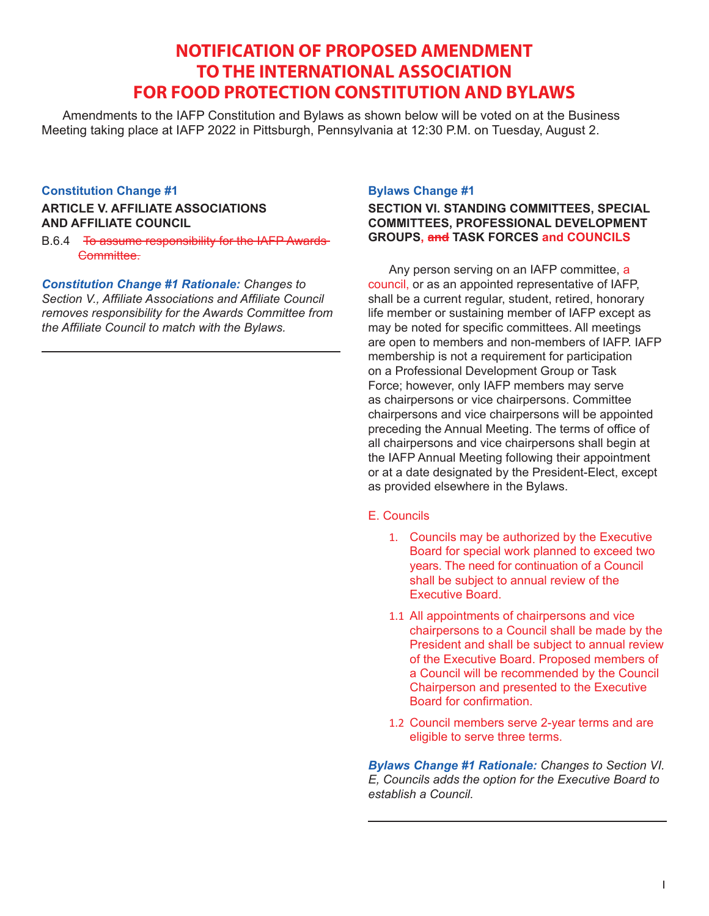# **NOTIFICATION OF PROPOSED AMENDMENT TO THE INTERNATIONAL ASSOCIATION FOR FOOD PROTECTION CONSTITUTION AND BYLAWS**

Amendments to the IAFP Constitution and Bylaws as shown below will be voted on at the Business Meeting taking place at IAFP 2022 in Pittsburgh, Pennsylvania at 12:30 P.M. on Tuesday, August 2.

## **Constitution Change #1**

## **ARTICLE V. AFFILIATE ASSOCIATIONS AND AFFILIATE COUNCIL**

B.6.4 To assume responsibility for the IAFP Awards Committee.

*Constitution Change #1 Rationale: Changes to Section V., Affiliate Associations and Affiliate Council removes responsibility for the Awards Committee from the Affiliate Council to match with the Bylaws.*

## **Bylaws Change #1**

## **SECTION VI. STANDING COMMITTEES, SPECIAL COMMITTEES, PROFESSIONAL DEVELOPMENT GROUPS, and TASK FORCES and COUNCILS**

Any person serving on an IAFP committee, a council, or as an appointed representative of IAFP, shall be a current regular, student, retired, honorary life member or sustaining member of IAFP except as may be noted for specific committees. All meetings are open to members and non-members of IAFP. IAFP membership is not a requirement for participation on a Professional Development Group or Task Force; however, only IAFP members may serve as chairpersons or vice chairpersons. Committee chairpersons and vice chairpersons will be appointed preceding the Annual Meeting. The terms of office of all chairpersons and vice chairpersons shall begin at the IAFP Annual Meeting following their appointment or at a date designated by the President-Elect, except as provided elsewhere in the Bylaws.

## E. Councils

- 1. Councils may be authorized by the Executive Board for special work planned to exceed two years. The need for continuation of a Council shall be subject to annual review of the Executive Board.
- 1.1 All appointments of chairpersons and vice chairpersons to a Council shall be made by the President and shall be subject to annual review of the Executive Board. Proposed members of a Council will be recommended by the Council Chairperson and presented to the Executive Board for confirmation.
- 1.2 Council members serve 2-year terms and are eligible to serve three terms.

*Bylaws Change #1 Rationale: Changes to Section VI. E, Councils adds the option for the Executive Board to establish a Council.*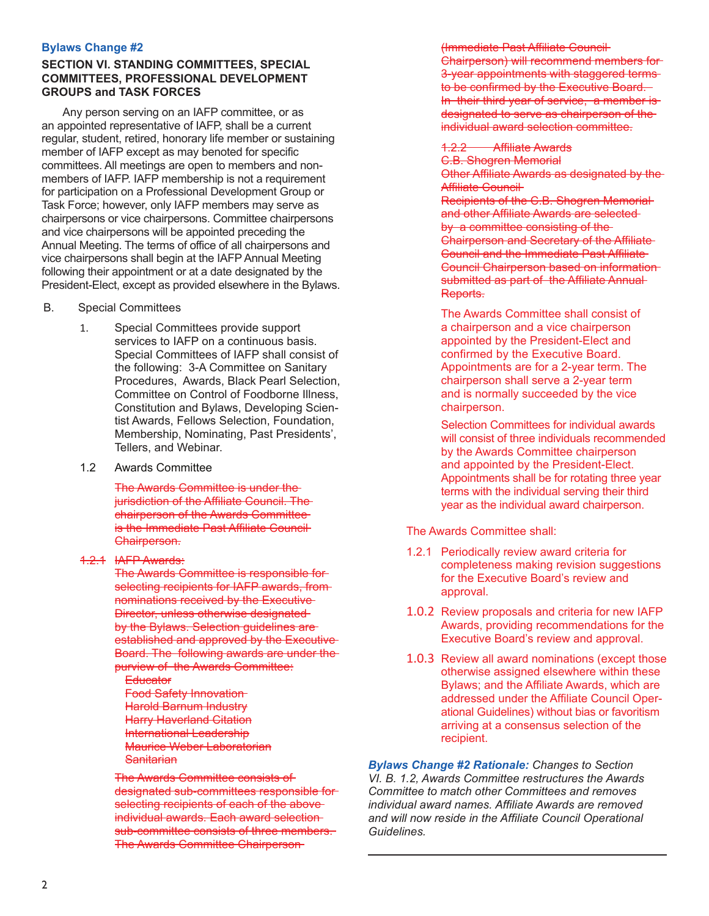## **SECTION VI. STANDING COMMITTEES, SPECIAL COMMITTEES, PROFESSIONAL DEVELOPMENT GROUPS and TASK FORCES**

Any person serving on an IAFP committee, or as an appointed representative of IAFP, shall be a current regular, student, retired, honorary life member or sustaining member of IAFP except as may benoted for specific committees. All meetings are open to members and nonmembers of IAFP. IAFP membership is not a requirement for participation on a Professional Development Group or Task Force; however, only IAFP members may serve as chairpersons or vice chairpersons. Committee chairpersons and vice chairpersons will be appointed preceding the Annual Meeting. The terms of office of all chairpersons and vice chairpersons shall begin at the IAFP Annual Meeting following their appointment or at a date designated by the President-Elect, except as provided elsewhere in the Bylaws.

- B. Special Committees
	- 1. Special Committees provide support services to IAFP on a continuous basis. Special Committees of IAFP shall consist of the following: 3-A Committee on Sanitary Procedures, Awards, Black Pearl Selection, Committee on Control of Foodborne Illness, Constitution and Bylaws, Developing Scientist Awards, Fellows Selection, Foundation, Membership, Nominating, Past Presidents', Tellers, and Webinar.
	- 1.2 Awards Committee

The Awards Committee is under the jurisdiction of the Affiliate Council. The chairperson of the Awards Committee is the Immediate Past Affiliate Council Chairperson.

1.2.1 IAFP Awards:

The Awards Committee is responsible for selecting recipients for IAFP awards, from nominations received by the Executive Director, unless otherwise designated by the Bylaws. Selection guidelines are established and approved by the Executive Board. The following awards are under the purview of the Awards Committee:

**Educator** Food Safety Innovation Harold Barnum Industry **Harry Haverland Citation** International Leadership Maurice Weber Laboratorian **Sanitarian** 

The Awards Committee consists of designated sub-committees responsible for selecting recipients of each of the aboveindividual awards. Each award selection sub-committee consists of three members. The Awards Committee Chairperson

(Immediate Past Affiliate Council Chairperson) will recommend members for 3-year appointments with staggered terms to be confirmed by the Executive Board. In their third year of service, a member is designated to serve as chairperson of theindividual award selection committee.

1.2.2 Affiliate Awards

C.B. Shogren Memorial Other Affiliate Awards as designated by the Affiliate Council Recipients of the C.B. Shogren Memorial and other Affiliate Awards are selected by a committee consisting of the Chairperson and Secretary of the Affiliate Council and the Immediate Past Affiliate Council Chairperson based on information submitted as part of the Affiliate Annual Reports.

The Awards Committee shall consist of a chairperson and a vice chairperson appointed by the President-Elect and confirmed by the Executive Board. Appointments are for a 2-year term. The chairperson shall serve a 2-year term and is normally succeeded by the vice chairperson.

Selection Committees for individual awards will consist of three individuals recommended by the Awards Committee chairperson and appointed by the President-Elect. Appointments shall be for rotating three year terms with the individual serving their third year as the individual award chairperson.

The Awards Committee shall:

- 1.2.1 Periodically review award criteria for completeness making revision suggestions for the Executive Board's review and approval.
- 1.0.2 Review proposals and criteria for new IAFP Awards, providing recommendations for the Executive Board's review and approval.
- 1.0.3 Review all award nominations (except those otherwise assigned elsewhere within these Bylaws; and the Affiliate Awards, which are addressed under the Affiliate Council Operational Guidelines) without bias or favoritism arriving at a consensus selection of the recipient.

*Bylaws Change #2 Rationale: Changes to Section VI. B. 1.2, Awards Committee restructures the Awards Committee to match other Committees and removes individual award names. Affiliate Awards are removed and will now reside in the Affiliate Council Operational Guidelines.*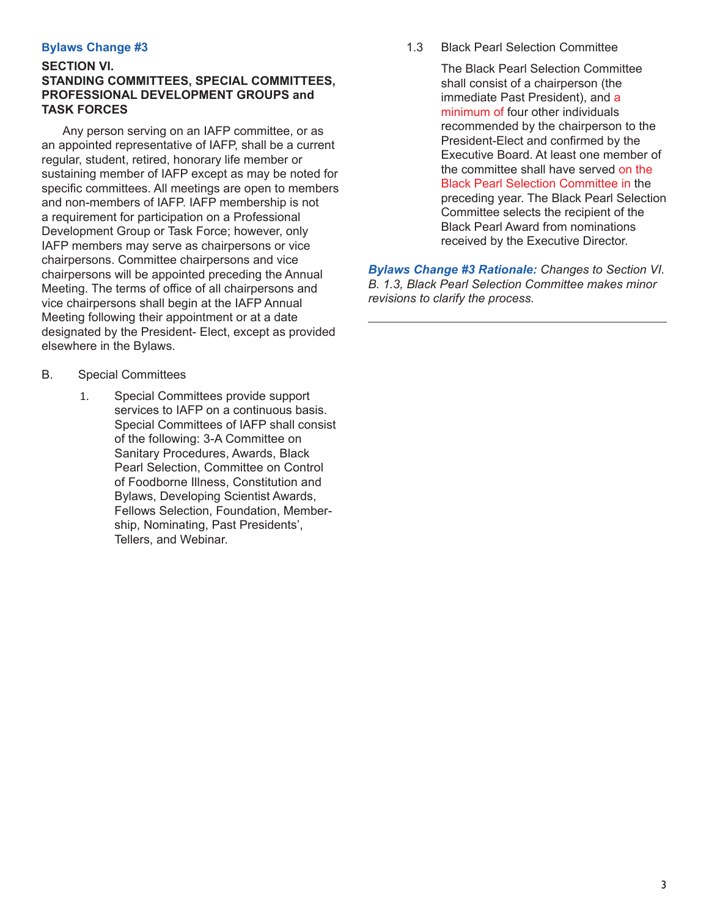## **SECTION VI. STANDING COMMITTEES, SPECIAL COMMITTEES, PROFESSIONAL DEVELOPMENT GROUPS and TASK FORCES**

Any person serving on an IAFP committee, or as an appointed representative of IAFP, shall be a current regular, student, retired, honorary life member or sustaining member of IAFP except as may be noted for specific committees. All meetings are open to members and non-members of IAFP. IAFP membership is not a requirement for participation on a Professional Development Group or Task Force; however, only IAFP members may serve as chairpersons or vice chairpersons. Committee chairpersons and vice chairpersons will be appointed preceding the Annual Meeting. The terms of office of all chairpersons and vice chairpersons shall begin at the IAFP Annual Meeting following their appointment or at a date designated by the President- Elect, except as provided elsewhere in the Bylaws.

- B. Special Committees
	- 1. Special Committees provide support services to IAFP on a continuous basis. Special Committees of IAFP shall consist of the following: 3-A Committee on Sanitary Procedures, Awards, Black Pearl Selection, Committee on Control of Foodborne Illness, Constitution and Bylaws, Developing Scientist Awards, Fellows Selection, Foundation, Membership, Nominating, Past Presidents', Tellers, and Webinar.

1.3 Black Pearl Selection Committee

The Black Pearl Selection Committee shall consist of a chairperson (the immediate Past President), and a minimum of four other individuals recommended by the chairperson to the President-Elect and confirmed by the Executive Board. At least one member of the committee shall have served on the Black Pearl Selection Committee in the preceding year. The Black Pearl Selection Committee selects the recipient of the Black Pearl Award from nominations received by the Executive Director.

*Bylaws Change #3 Rationale: Changes to Section VI. B. 1.3, Black Pearl Selection Committee makes minor revisions to clarify the process.*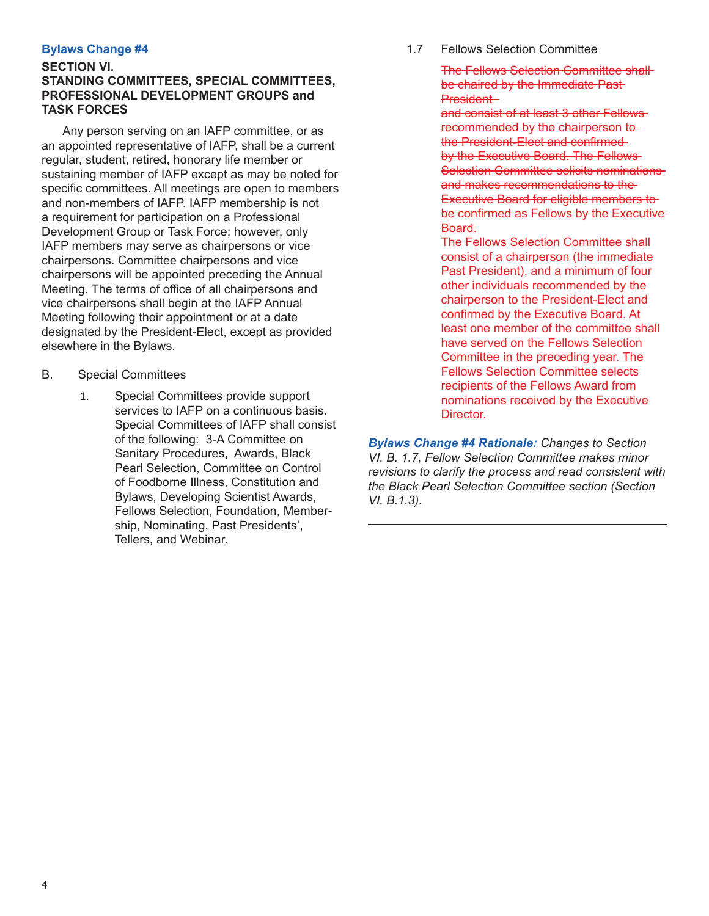## **SECTION VI. STANDING COMMITTEES, SPECIAL COMMITTEES, PROFESSIONAL DEVELOPMENT GROUPS and TASK FORCES**

Any person serving on an IAFP committee, or as an appointed representative of IAFP, shall be a current regular, student, retired, honorary life member or sustaining member of IAFP except as may be noted for specific committees. All meetings are open to members and non-members of IAFP. IAFP membership is not a requirement for participation on a Professional Development Group or Task Force; however, only IAFP members may serve as chairpersons or vice chairpersons. Committee chairpersons and vice chairpersons will be appointed preceding the Annual Meeting. The terms of office of all chairpersons and vice chairpersons shall begin at the IAFP Annual Meeting following their appointment or at a date designated by the President-Elect, except as provided elsewhere in the Bylaws.

- B. Special Committees
	- 1. Special Committees provide support services to IAFP on a continuous basis. Special Committees of IAFP shall consist of the following: 3-A Committee on Sanitary Procedures, Awards, Black Pearl Selection, Committee on Control of Foodborne Illness, Constitution and Bylaws, Developing Scientist Awards, Fellows Selection, Foundation, Membership, Nominating, Past Presidents', Tellers, and Webinar.

1.7 Fellows Selection Committee

The Fellows Selection Committee shall be chaired by the Immediate Past-President

and consist of at least 3 other Fellows recommended by the chairperson to the President-Elect and confirmed by the Executive Board. The Fellows-**Selection Committee solicits nominations** and makes recommendations to the Executive Board for eligible members to be confirmed as Fellows by the Executive Board.

The Fellows Selection Committee shall consist of a chairperson (the immediate Past President), and a minimum of four other individuals recommended by the chairperson to the President-Elect and confirmed by the Executive Board. At least one member of the committee shall have served on the Fellows Selection Committee in the preceding year. The Fellows Selection Committee selects recipients of the Fellows Award from nominations received by the Executive Director.

*Bylaws Change #4 Rationale: Changes to Section VI. B. 1.7, Fellow Selection Committee makes minor revisions to clarify the process and read consistent with the Black Pearl Selection Committee section (Section VI. B.1.3).*